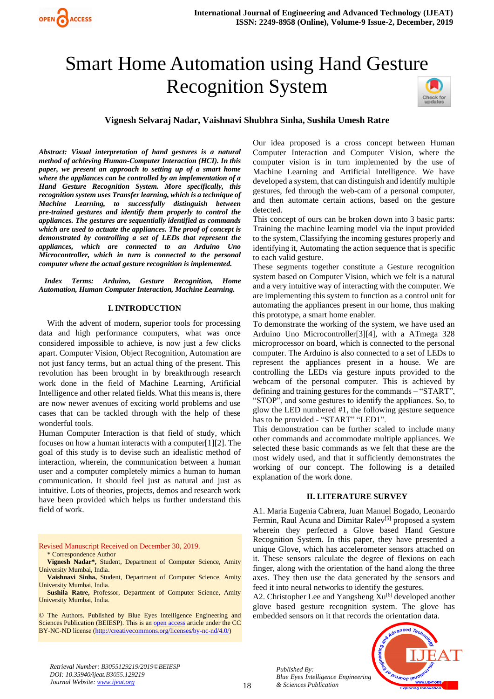# Smart Home Automation using Hand Gesture Recognition System



## **Vignesh Selvaraj Nadar, Vaishnavi Shubhra Sinha, Sushila Umesh Ratre**

*Abstract: Visual interpretation of hand gestures is a natural method of achieving Human-Computer Interaction (HCI). In this paper, we present an approach to setting up of a smart home where the appliances can be controlled by an implementation of a Hand Gesture Recognition System. More specifically, this recognition system uses Transfer learning, which is a technique of Machine Learning, to successfully distinguish between pre-trained gestures and identify them properly to control the appliances. The gestures are sequentially identified as commands which are used to actuate the appliances. The proof of concept is demonstrated by controlling a set of LEDs that represent the appliances, which are connected to an Arduino Uno Microcontroller, which in turn is connected to the personal computer where the actual gesture recognition is implemented.*

 *Index Terms: Arduino, Gesture Recognition, Home Automation, Human Computer Interaction, Machine Learning.*

#### **I. INTRODUCTION**

With the advent of modern, superior tools for processing data and high performance computers, what was once considered impossible to achieve, is now just a few clicks apart. Computer Vision, Object Recognition, Automation are not just fancy terms, but an actual thing of the present. This revolution has been brought in by breakthrough research work done in the field of Machine Learning, Artificial Intelligence and other related fields. What this means is, there are now newer avenues of exciting world problems and use cases that can be tackled through with the help of these wonderful tools.

Human Computer Interaction is that field of study, which focuses on how a human interacts with a computer[1][2]. The goal of this study is to devise such an idealistic method of interaction, wherein, the communication between a human user and a computer completely mimics a human to human communication. It should feel just as natural and just as intuitive. Lots of theories, projects, demos and research work have been provided which helps us further understand this field of work.

Revised Manuscript Received on December 30, 2019.

\* Correspondence Author

**Vignesh Nadar\*,** Student, Department of Computer Science, Amity University Mumbai, India.

**Vaishnavi Sinha,** Student, Department of Computer Science, Amity University Mumbai, India.

**Sushila Ratre,** Professor, Department of Computer Science, Amity University Mumbai, India.

© The Authors. Published by Blue Eyes Intelligence Engineering and Sciences Publication (BEIESP). This is a[n open access](https://www.openaccess.nl/en/open-publications) article under the CC BY-NC-ND license [\(http://creativecommons.org/licenses/by-nc-nd/4.0/\)](http://creativecommons.org/licenses/by-nc-nd/4.0/)

Our idea proposed is a cross concept between Human Computer Interaction and Computer Vision, where the computer vision is in turn implemented by the use of Machine Learning and Artificial Intelligence. We have developed a system, that can distinguish and identify multiple gestures, fed through the web-cam of a personal computer, and then automate certain actions, based on the gesture detected.

This concept of ours can be broken down into 3 basic parts: Training the machine learning model via the input provided to the system, Classifying the incoming gestures properly and identifying it, Automating the action sequence that is specific to each valid gesture.

These segments together constitute a Gesture recognition system based on Computer Vision, which we felt is a natural and a very intuitive way of interacting with the computer. We are implementing this system to function as a control unit for automating the appliances present in our home, thus making this prototype, a smart home enabler.

To demonstrate the working of the system, we have used an Arduino Uno Microcontroller[3][4], with a ATmega 328 microprocessor on board, which is connected to the personal computer. The Arduino is also connected to a set of LEDs to represent the appliances present in a house. We are controlling the LEDs via gesture inputs provided to the webcam of the personal computer. This is achieved by defining and training gestures for the commands – "START", "STOP", and some gestures to identify the appliances. So, to glow the LED numbered #1, the following gesture sequence has to be provided - "START" "LED1".

This demonstration can be further scaled to include many other commands and accommodate multiple appliances. We selected these basic commands as we felt that these are the most widely used, and that it sufficiently demonstrates the working of our concept. The following is a detailed explanation of the work done.

#### **II. LITERATURE SURVEY**

A1. Maria Eugenia Cabrera, Juan Manuel Bogado, Leonardo Fermin, Raul Acuna and Dimitar Ralev<sup>[5]</sup> proposed a system wherein they perfected a Glove based Hand Gesture Recognition System. In this paper, they have presented a unique Glove, which has accelerometer sensors attached on it. These sensors calculate the degree of flexions on each finger, along with the orientation of the hand along the three axes. They then use the data generated by the sensors and feed it into neural networks to identify the gestures.

A2. Christopher Lee and Yangsheng  $Xu^{[6]}$  developed another glove based gesture recognition system. The glove has embedded sensors on it that records the orientation data.



*Retrieval Number: B3055129219/2019©BEIESP DOI: 10.35940/ijeat.B3055.129219 Journal Website[: www.ijeat.org](http://www.ijeat.org/)*

*Published By: Blue Eyes Intelligence Engineering & Sciences Publication*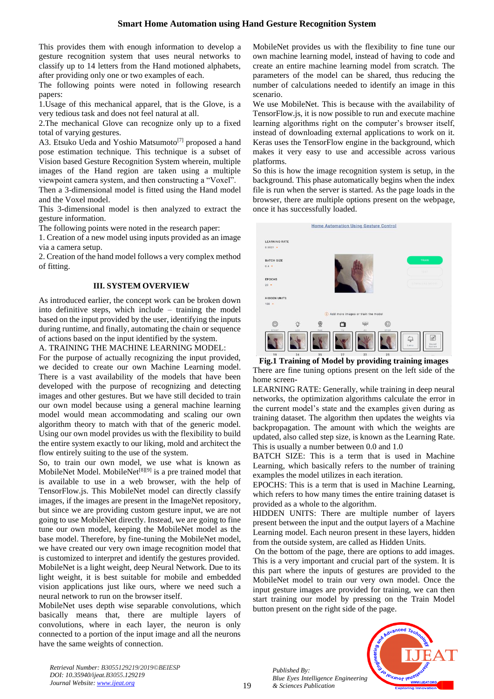This provides them with enough information to develop a gesture recognition system that uses neural networks to classify up to 14 letters from the Hand motioned alphabets, after providing only one or two examples of each.

The following points were noted in following research papers:

1.Usage of this mechanical apparel, that is the Glove, is a very tedious task and does not feel natural at all.

2.The mechanical Glove can recognize only up to a fixed total of varying gestures.

A3. Etsuko Ueda and Yoshio Matsumoto<sup>[7]</sup> proposed a hand pose estimation technique. This technique is a subset of Vision based Gesture Recognition System wherein, multiple images of the Hand region are taken using a multiple viewpoint camera system, and then constructing a "Voxel".

Then a 3-dimensional model is fitted using the Hand model and the Voxel model.

This 3-dimensional model is then analyzed to extract the gesture information.

The following points were noted in the research paper:

1. Creation of a new model using inputs provided as an image via a camera setup.

2. Creation of the hand model follows a very complex method of fitting.

#### **III. SYSTEM OVERVIEW**

As introduced earlier, the concept work can be broken down into definitive steps, which include – training the model based on the input provided by the user, identifying the inputs during runtime, and finally, automating the chain or sequence of actions based on the input identified by the system.

A. TRAINING THE MACHINE LEARNING MODEL:

For the purpose of actually recognizing the input provided, we decided to create our own Machine Learning model. There is a vast availability of the models that have been developed with the purpose of recognizing and detecting images and other gestures. But we have still decided to train our own model because using a general machine learning model would mean accommodating and scaling our own algorithm theory to match with that of the generic model. Using our own model provides us with the flexibility to build the entire system exactly to our liking, mold and architect the flow entirely suiting to the use of the system.

So, to train our own model, we use what is known as MobileNet Model. MobileNet<sup>[8][9]</sup> is a pre trained model that is available to use in a web browser, with the help of TensorFlow.js. This MobileNet model can directly classify images, if the images are present in the ImageNet repository, but since we are providing custom gesture input, we are not going to use MobileNet directly. Instead, we are going to fine tune our own model, keeping the MobileNet model as the base model. Therefore, by fine-tuning the MobileNet model, we have created our very own image recognition model that is customized to interpret and identify the gestures provided. MobileNet is a light weight, deep Neural Network. Due to its light weight, it is best suitable for mobile and embedded vision applications just like ours, where we need such a neural network to run on the browser itself.

MobileNet uses depth wise separable convolutions, which basically means that, there are multiple layers of convolutions, where in each layer, the neuron is only connected to a portion of the input image and all the neurons have the same weights of connection.

MobileNet provides us with the flexibility to fine tune our own machine learning model, instead of having to code and create an entire machine learning model from scratch. The parameters of the model can be shared, thus reducing the number of calculations needed to identify an image in this scenario.

We use MobileNet. This is because with the availability of TensorFlow.js, it is now possible to run and execute machine learning algorithms right on the computer's browser itself, instead of downloading external applications to work on it. Keras uses the TensorFlow engine in the background, which makes it very easy to use and accessible across various platforms.

So this is how the image recognition system is setup, in the background. This phase automatically begins when the index file is run when the server is started. As the page loads in the browser, there are multiple options present on the webpage, once it has successfully loaded.



**Fig.1 Training of Model by providing training images** There are fine tuning options present on the left side of the home screen-

LEARNING RATE: Generally, while training in deep neural networks, the optimization algorithms calculate the error in the current model's state and the examples given during as training dataset. The algorithm then updates the weights via backpropagation. The amount with which the weights are updated, also called step size, is known as the Learning Rate. This is usually a number between 0.0 and 1.0

BATCH SIZE: This is a term that is used in Machine Learning, which basically refers to the number of training examples the model utilizes in each iteration.

EPOCHS: This is a term that is used in Machine Learning, which refers to how many times the entire training dataset is provided as a whole to the algorithm.

HIDDEN UNITS: There are multiple number of layers present between the input and the output layers of a Machine Learning model. Each neuron present in these layers, hidden from the outside system, are called as Hidden Units.

On the bottom of the page, there are options to add images. This is a very important and crucial part of the system. It is this part where the inputs of gestures are provided to the MobileNet model to train our very own model. Once the input gesture images are provided for training, we can then start training our model by pressing on the Train Model button present on the right side of the page.

*Published By: Blue Eyes Intelligence Engineering & Sciences Publication* 



*Retrieval Number: B3055129219/2019©BEIESP DOI: 10.35940/ijeat.B3055.129219 Journal Website[: www.ijeat.org](http://www.ijeat.org/)*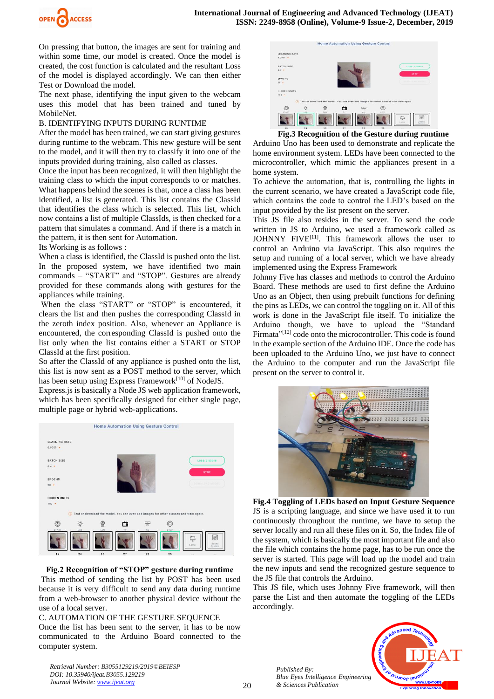

On pressing that button, the images are sent for training and within some time, our model is created. Once the model is created, the cost function is calculated and the resultant Loss of the model is displayed accordingly. We can then either Test or Download the model.

The next phase, identifying the input given to the webcam uses this model that has been trained and tuned by MobileNet.

#### B. IDENTIFYING INPUTS DURING RUNTIME

After the model has been trained, we can start giving gestures during runtime to the webcam. This new gesture will be sent to the model, and it will then try to classify it into one of the inputs provided during training, also called as classes.

Once the input has been recognized, it will then highlight the training class to which the input corresponds to or matches. What happens behind the scenes is that, once a class has been identified, a list is generated. This list contains the ClassId that identifies the class which is selected. This list, which now contains a list of multiple ClassIds, is then checked for a pattern that simulates a command. And if there is a match in the pattern, it is then sent for Automation.

#### Its Working is as follows :

When a class is identified, the ClassId is pushed onto the list. In the proposed system, we have identified two main commands – "START" and "STOP". Gestures are already provided for these commands along with gestures for the appliances while training.

When the class "START" or "STOP" is encountered, it clears the list and then pushes the corresponding ClassId in the zeroth index position. Also, whenever an Appliance is encountered, the corresponding ClassId is pushed onto the list only when the list contains either a START or STOP ClassId at the first position.

So after the ClassId of any appliance is pushed onto the list, this list is now sent as a POST method to the server, which has been setup using Express Framework<sup>[10]</sup> of NodeJS.

Express.js is basically a Node JS web application framework, which has been specifically designed for either single page, multiple page or hybrid web-applications.



## **Fig.2 Recognition of "STOP" gesture during runtime**

This method of sending the list by POST has been used because it is very difficult to send any data during runtime from a web-browser to another physical device without the use of a local server.

#### C. AUTOMATION OF THE GESTURE SEQUENCE

Once the list has been sent to the server, it has to be now communicated to the Arduino Board connected to the computer system.

*Retrieval Number: B3055129219/2019©BEIESP DOI: 10.35940/ijeat.B3055.129219 Journal Website[: www.ijeat.org](http://www.ijeat.org/)*



 **Fig.3 Recognition of the Gesture during runtime**

Arduino Uno has been used to demonstrate and replicate the home environment system. LEDs have been connected to the microcontroller, which mimic the appliances present in a home system.

To achieve the automation, that is, controlling the lights in the current scenario, we have created a JavaScript code file, which contains the code to control the LED's based on the input provided by the list present on the server.

This JS file also resides in the server. To send the code written in JS to Arduino, we used a framework called as JOHNNY FIVE[11]. This framework allows the user to control an Arduino via JavaScript. This also requires the setup and running of a local server, which we have already implemented using the Express Framework

Johnny Five has classes and methods to control the Arduino Board. These methods are used to first define the Arduino Uno as an Object, then using prebuilt functions for defining the pins as LEDs, we can control the toggling on it. All of this work is done in the JavaScript file itself. To initialize the Arduino though, we have to upload the "Standard Firmata"<sup>[12]</sup> code onto the microcontroller. This code is found in the example section of the Arduino IDE. Once the code has been uploaded to the Arduino Uno, we just have to connect the Arduino to the computer and run the JavaScript file present on the server to control it.



**Fig.4 Toggling of LEDs based on Input Gesture Sequence** JS is a scripting language, and since we have used it to run continuously throughout the runtime, we have to setup the server locally and run all these files on it. So, the Index file of the system, which is basically the most important file and also the file which contains the home page, has to be run once the server is started. This page will load up the model and train the new inputs and send the recognized gesture sequence to the JS file that controls the Arduino.

This JS file, which uses Johnny Five framework, will then parse the List and then automate the toggling of the LEDs accordingly.